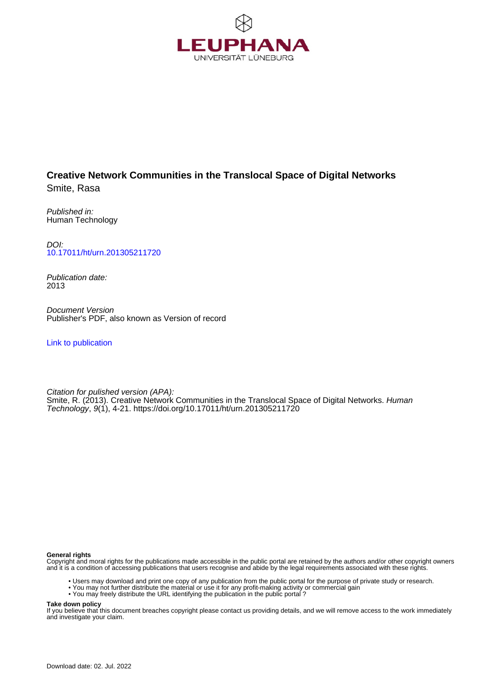

# **Creative Network Communities in the Translocal Space of Digital Networks** Smite, Rasa

Published in: Human Technology

DOI: [10.17011/ht/urn.201305211720](https://doi.org/10.17011/ht/urn.201305211720)

Publication date: 2013

Document Version Publisher's PDF, also known as Version of record

[Link to publication](http://fox.leuphana.de/portal/en/publications/creative-network-communities-in-the-translocal-space-of-digital-networks(bf342f41-c8f4-4999-a473-7b12daf9bba4).html)

Citation for pulished version (APA): Smite, R. (2013). [Creative Network Communities in the Translocal Space of Digital Networks.](http://fox.leuphana.de/portal/de/publications/creative-network-communities-in-the-translocal-space-of-digital-networks(bf342f41-c8f4-4999-a473-7b12daf9bba4).html) [Human](http://fox.leuphana.de/portal/de/journals/human-technology(a158e45b-a656-4921-a33c-0fcc4bb68383)/publications.html) [Technology](http://fox.leuphana.de/portal/de/journals/human-technology(a158e45b-a656-4921-a33c-0fcc4bb68383)/publications.html), 9(1), 4-21.<https://doi.org/10.17011/ht/urn.201305211720>

#### **General rights**

Copyright and moral rights for the publications made accessible in the public portal are retained by the authors and/or other copyright owners and it is a condition of accessing publications that users recognise and abide by the legal requirements associated with these rights.

- Users may download and print one copy of any publication from the public portal for the purpose of private study or research.
- You may not further distribute the material or use it for any profit-making activity or commercial gain
- You may freely distribute the URL identifying the publication in the public portal ?

#### **Take down policy**

If you believe that this document breaches copyright please contact us providing details, and we will remove access to the work immediately and investigate your claim.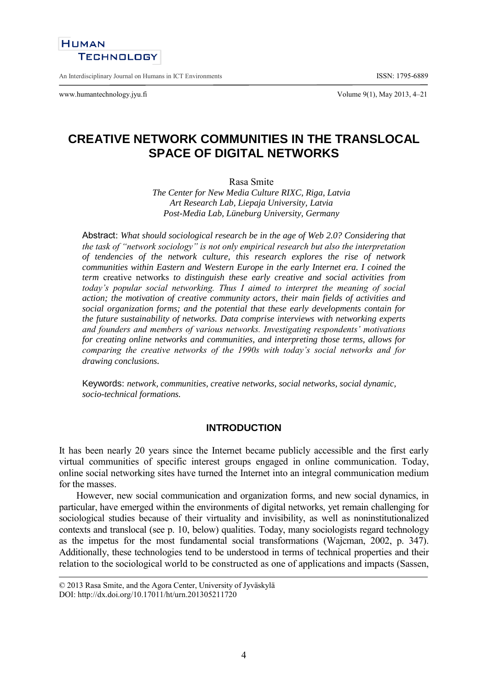# **HUMAN TECHNOLOGY**

An Interdisciplinary Journal on Humans in ICT Environments ISSN: 1795-6889

www.humantechnology.jyu.fi Volume 9(1), May 2013, 4–21

# **CREATIVE NETWORK COMMUNITIES IN THE TRANSLOCAL SPACE OF DIGITAL NETWORKS**

Rasa Smite

*The Center for New Media Culture RIXC, Riga, Latvia Art Research Lab, Liepaja University, Latvia Post-Media Lab, Lüneburg University, Germany*

Abstract: *What should sociological research be in the age of Web 2.0? Considering that the task of "network sociology" is not only empirical research but also the interpretation of tendencies of the network culture, this research explores the rise of network communities within Eastern and Western Europe in the early Internet era. I coined the term* creative networks *to distinguish these early creative and social activities from today's popular social networking. Thus I aimed to interpret the meaning of social action; the motivation of creative community actors, their main fields of activities and social organization forms; and the potential that these early developments contain for the future sustainability of networks. Data comprise interviews with networking experts and founders and members of various networks. Investigating respondents' motivations for creating online networks and communities, and interpreting those terms, allows for comparing the creative networks of the 1990s with today's social networks and for drawing conclusions.*

Keywords: *network, communities, creative networks, social networks, social dynamic, socio-technical formations.*

### **INTRODUCTION**

It has been nearly 20 years since the Internet became publicly accessible and the first early virtual communities of specific interest groups engaged in online communication. Today, online social networking sites have turned the Internet into an integral communication medium for the masses.

However, new social communication and organization forms, and new social dynamics, in particular, have emerged within the environments of digital networks, yet remain challenging for sociological studies because of their virtuality and invisibility, as well as noninstitutionalized contexts and translocal (see p. 10, below) qualities. Today, many sociologists regard technology as the impetus for the most fundamental social transformations (Wajcman, 2002, p. 347). Additionally, these technologies tend to be understood in terms of technical properties and their relation to the sociological world to be constructed as one of applications and impacts (Sassen,

<sup>© 2013</sup> Rasa Smite, and the Agora Center, University of Jyväskylä DOI: http://dx.doi.org/10.17011/ht/urn.201305211720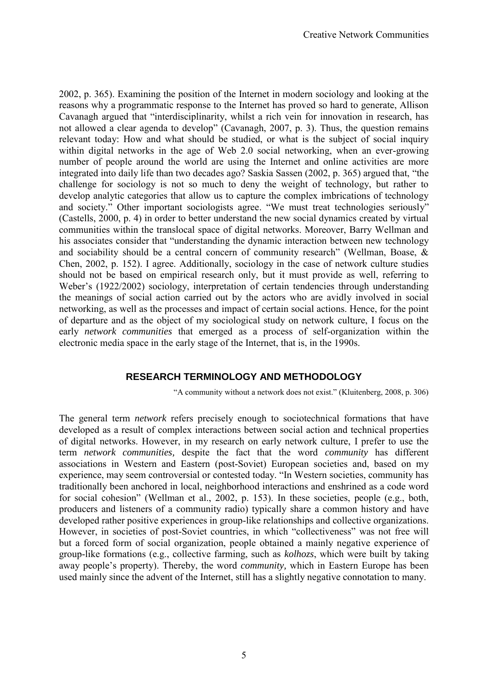2002, p. 365). Examining the position of the Internet in modern sociology and looking at the reasons why a programmatic response to the Internet has proved so hard to generate, Allison Cavanagh argued that "interdisciplinarity, whilst a rich vein for innovation in research, has not allowed a clear agenda to develop" (Cavanagh, 2007, p. 3). Thus, the question remains relevant today: How and what should be studied, or what is the subject of social inquiry within digital networks in the age of Web 2.0 social networking, when an ever-growing number of people around the world are using the Internet and online activities are more integrated into daily life than two decades ago? Saskia Sassen (2002, p. 365) argued that, "the challenge for sociology is not so much to deny the weight of technology, but rather to develop analytic categories that allow us to capture the complex imbrications of technology and society." Other important sociologists agree. "We must treat technologies seriously" (Castells, 2000, p. 4) in order to better understand the new social dynamics created by virtual communities within the translocal space of digital networks. Moreover, Barry Wellman and his associates consider that "understanding the dynamic interaction between new technology and sociability should be a central concern of community research" (Wellman, Boase, & Chen, 2002, p. 152). I agree. Additionally, sociology in the case of network culture studies should not be based on empirical research only, but it must provide as well, referring to Weber's (1922/2002) sociology, interpretation of certain tendencies through understanding the meanings of social action carried out by the actors who are avidly involved in social networking, as well as the processes and impact of certain social actions. Hence, for the point of departure and as the object of my sociological study on network culture, I focus on the early *network communities* that emerged as a process of self-organization within the electronic media space in the early stage of the Internet, that is, in the 1990s.

# **RESEARCH TERMINOLOGY AND METHODOLOGY**

"A community without a network does not exist." (Kluitenberg, 2008, p. 306)

The general term *network* refers precisely enough to sociotechnical formations that have developed as a result of complex interactions between social action and technical properties of digital networks. However, in my research on early network culture, I prefer to use the term *network communities,* despite the fact that the word *community* has different associations in Western and Eastern (post-Soviet) European societies and, based on my experience, may seem controversial or contested today. "In Western societies, community has traditionally been anchored in local, neighborhood interactions and enshrined as a code word for social cohesion" (Wellman et al., 2002, p. 153). In these societies, people (e.g., both, producers and listeners of a community radio) typically share a common history and have developed rather positive experiences in group-like relationships and collective organizations. However, in societies of post-Soviet countries, in which "collectiveness" was not free will but a forced form of social organization, people obtained a mainly negative experience of group-like formations (e.g., collective farming, such as *kolhozs*, which were built by taking away people's property). Thereby, the word *community,* which in Eastern Europe has been used mainly since the advent of the Internet, still has a slightly negative connotation to many.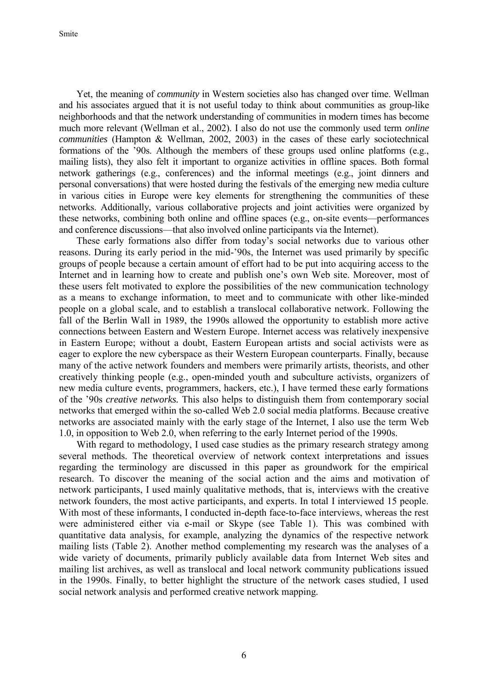Yet, the meaning of *community* in Western societies also has changed over time. Wellman and his associates argued that it is not useful today to think about communities as group-like neighborhoods and that the network understanding of communities in modern times has become much more relevant (Wellman et al., 2002). I also do not use the commonly used term *online communities* (Hampton & Wellman, 2002, 2003) in the cases of these early sociotechnical formations of the '90s. Although the members of these groups used online platforms (e.g., mailing lists), they also felt it important to organize activities in offline spaces. Both formal network gatherings (e.g., conferences) and the informal meetings (e.g., joint dinners and personal conversations) that were hosted during the festivals of the emerging new media culture in various cities in Europe were key elements for strengthening the communities of these networks. Additionally, various collaborative projects and joint activities were organized by these networks, combining both online and offline spaces (e.g., on-site events—performances and conference discussions—that also involved online participants via the Internet).

These early formations also differ from today's social networks due to various other reasons. During its early period in the mid-'90s, the Internet was used primarily by specific groups of people because a certain amount of effort had to be put into acquiring access to the Internet and in learning how to create and publish one's own Web site. Moreover, most of these users felt motivated to explore the possibilities of the new communication technology as a means to exchange information, to meet and to communicate with other like-minded people on a global scale, and to establish a translocal collaborative network. Following the fall of the Berlin Wall in 1989, the 1990s allowed the opportunity to establish more active connections between Eastern and Western Europe. Internet access was relatively inexpensive in Eastern Europe; without a doubt, Eastern European artists and social activists were as eager to explore the new cyberspace as their Western European counterparts. Finally, because many of the active network founders and members were primarily artists, theorists, and other creatively thinking people (e.g., open-minded youth and subculture activists, organizers of new media culture events, programmers, hackers, etc.), I have termed these early formations of the '90s *creative networks.* This also helps to distinguish them from contemporary social networks that emerged within the so-called Web 2.0 social media platforms. Because creative networks are associated mainly with the early stage of the Internet, I also use the term Web 1.0, in opposition to Web 2.0, when referring to the early Internet period of the 1990s.

With regard to methodology, I used case studies as the primary research strategy among several methods. The theoretical overview of network context interpretations and issues regarding the terminology are discussed in this paper as groundwork for the empirical research. To discover the meaning of the social action and the aims and motivation of network participants, I used mainly qualitative methods, that is, interviews with the creative network founders, the most active participants, and experts. In total I interviewed 15 people. With most of these informants, I conducted in-depth face-to-face interviews, whereas the rest were administered either via e-mail or Skype (see Table 1). This was combined with quantitative data analysis, for example, analyzing the dynamics of the respective network mailing lists (Table 2). Another method complementing my research was the analyses of a wide variety of documents, primarily publicly available data from Internet Web sites and mailing list archives, as well as translocal and local network community publications issued in the 1990s. Finally, to better highlight the structure of the network cases studied, I used social network analysis and performed creative network mapping.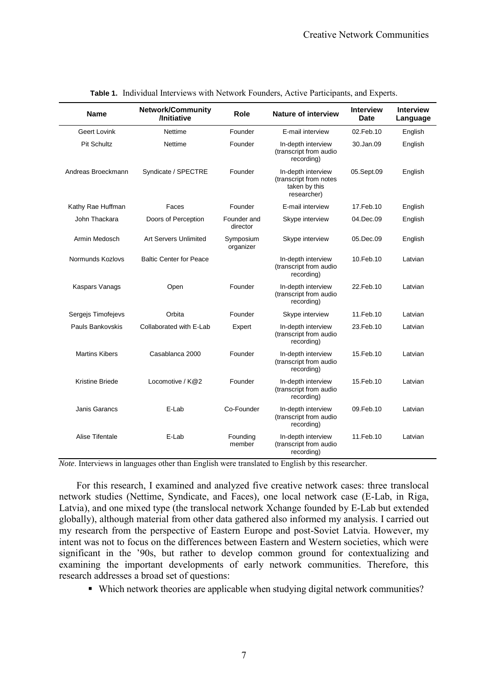| <b>Name</b>            | Network/Community<br>/Initiative | Role                    | <b>Nature of interview</b>                                                   | <b>Interview</b><br><b>Date</b> | <b>Interview</b><br>Language |
|------------------------|----------------------------------|-------------------------|------------------------------------------------------------------------------|---------------------------------|------------------------------|
| Geert Lovink           | <b>Nettime</b>                   | Founder                 | E-mail interview                                                             | 02.Feb.10                       | English                      |
| <b>Pit Schultz</b>     | Nettime                          | Founder                 | In-depth interview<br>(transcript from audio<br>recording)                   | 30.Jan.09                       | English                      |
| Andreas Broeckmann     | Syndicate / SPECTRE              | Founder                 | In-depth interview<br>(transcript from notes<br>taken by this<br>researcher) | 05.Sept.09                      | English                      |
| Kathy Rae Huffman      | Faces                            | Founder                 | E-mail interview                                                             | 17. Feb. 10                     | English                      |
| John Thackara          | Doors of Perception              | Founder and<br>director | Skype interview                                                              | 04.Dec.09                       | English                      |
| Armin Medosch          | <b>Art Servers Unlimited</b>     | Symposium<br>organizer  | Skype interview                                                              | 05.Dec.09                       | English                      |
| Normunds Kozlovs       | <b>Baltic Center for Peace</b>   |                         | In-depth interview<br>(transcript from audio<br>recording)                   | 10.Feb.10                       | Latvian                      |
| Kaspars Vanags         | Open                             | Founder                 | In-depth interview<br>(transcript from audio<br>recording)                   | 22. Feb. 10                     | Latvian                      |
| Sergejs Timofejevs     | Orbita                           | Founder                 | Skype interview                                                              | 11.Feb.10                       | Latvian                      |
| Pauls Bankovskis       | Collaborated with E-Lab          | Expert                  | In-depth interview<br>(transcript from audio<br>recording)                   | 23. Feb. 10                     | Latvian                      |
| <b>Martins Kibers</b>  | Casablanca 2000                  | Founder                 | In-depth interview<br>(transcript from audio<br>recording)                   | 15. Feb. 10                     | Latvian                      |
| <b>Kristine Briede</b> | Locomotive / K@2                 | Founder                 | In-depth interview<br>15. Feb. 10<br>(transcript from audio<br>recording)    |                                 | Latvian                      |
| Janis Garancs          | E-Lab                            | Co-Founder              | In-depth interview<br>(transcript from audio<br>recording)                   | 09.Feb.10                       | Latvian                      |
| Alise Tifentale        | E-Lab                            | Founding<br>member      | In-depth interview<br>(transcript from audio<br>recording)                   | 11.Feb.10                       | Latvian                      |

|  |  |  |  | Table 1. Individual Interviews with Network Founders, Active Participants, and Experts. |
|--|--|--|--|-----------------------------------------------------------------------------------------|
|  |  |  |  |                                                                                         |

*Note*. Interviews in languages other than English were translated to English by this researcher.

For this research, I examined and analyzed five creative network cases: three translocal network studies (Nettime, Syndicate, and Faces)*,* one local network case (E-Lab, in Riga, Latvia), and one mixed type (the translocal network Xchange founded by E-Lab but extended globally), although material from other data gathered also informed my analysis. I carried out my research from the perspective of Eastern Europe and post-Soviet Latvia. However, my intent was not to focus on the differences between Eastern and Western societies, which were significant in the '90s, but rather to develop common ground for contextualizing and examining the important developments of early network communities. Therefore, this research addresses a broad set of questions:

Which network theories are applicable when studying digital network communities?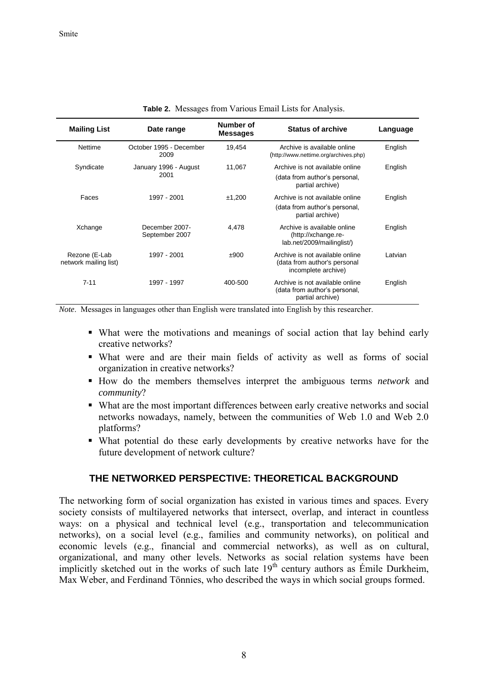| <b>Mailing List</b>                    | Date range                       | Number of<br><b>Messages</b> | <b>Status of archive</b>                                                               | Language |
|----------------------------------------|----------------------------------|------------------------------|----------------------------------------------------------------------------------------|----------|
| <b>Nettime</b>                         | October 1995 - December<br>2009  | 19,454                       | Archive is available online<br>(http://www.nettime.org/archives.php)                   | English  |
| Syndicate                              | January 1996 - August<br>2001    | 11,067                       | Archive is not available online<br>(data from author's personal,<br>partial archive)   | English  |
| Faces                                  | 1997 - 2001                      | ±1,200                       | Archive is not available online<br>(data from author's personal,<br>partial archive)   | English  |
| Xchange                                | December 2007-<br>September 2007 | 4.478                        | Archive is available online<br>(http://xchange.re-<br>lab.net/2009/mailinglist/)       | English  |
| Rezone (E-Lab<br>network mailing list) | 1997 - 2001                      | ±900                         | Archive is not available online<br>(data from author's personal<br>incomplete archive) | Latvian  |
| $7 - 11$                               | 1997 - 1997                      | 400-500                      | Archive is not available online<br>(data from author's personal,<br>partial archive)   | English  |

| Table 2. Messages from Various Email Lists for Analysis. |  |  |  |  |  |
|----------------------------------------------------------|--|--|--|--|--|
|----------------------------------------------------------|--|--|--|--|--|

*Note*. Messages in languages other than English were translated into English by this researcher.

- What were the motivations and meanings of social action that lay behind early creative networks?
- What were and are their main fields of activity as well as forms of social organization in creative networks?
- How do the members themselves interpret the ambiguous terms *network* and *community*?
- What are the most important differences between early creative networks and social networks nowadays, namely, between the communities of Web 1.0 and Web 2.0 platforms?
- What potential do these early developments by creative networks have for the future development of network culture?

### **THE NETWORKED PERSPECTIVE: THEORETICAL BACKGROUND**

The networking form of social organization has existed in various times and spaces. Every society consists of multilayered networks that intersect, overlap, and interact in countless ways: on a physical and technical level (e.g., transportation and telecommunication networks), on a social level (e.g., families and community networks), on political and economic levels (e.g., financial and commercial networks), as well as on cultural, organizational, and many other levels. Networks as social relation systems have been implicitly sketched out in the works of such late  $19<sup>th</sup>$  century authors as Émile Durkheim, Max Weber, and Ferdinand Tönnies, who described the ways in which social groups formed.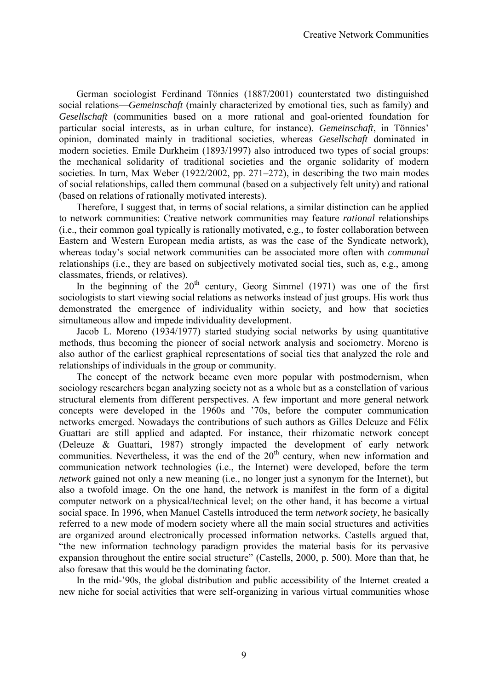German sociologist Ferdinand Tönnies (1887/2001) counterstated two distinguished social relations—*Gemeinschaft* (mainly characterized by emotional ties, such as family) and *Gesellschaft* (communities based on a more rational and goal-oriented foundation for particular social interests, as in urban culture, for instance). *Gemeinschaft*, in Tönnies' opinion, dominated mainly in traditional societies, whereas *Gesellschaft* dominated in modern societies. Emile Durkheim (1893/1997) also introduced two types of social groups: the mechanical solidarity of traditional societies and the organic solidarity of modern societies. In turn, Max Weber (1922/2002, pp. 271–272), in describing the two main modes of social relationships, called them communal (based on a subjectively felt unity) and rational (based on relations of rationally motivated interests).

Therefore, I suggest that, in terms of social relations*,* a similar distinction can be applied to network communities: Creative network communities may feature *rational* relationships (i.e., their common goal typically is rationally motivated, e.g., to foster collaboration between Eastern and Western European media artists, as was the case of the Syndicate network), whereas today's social network communities can be associated more often with *communal*  relationships (i.e., they are based on subjectively motivated social ties, such as, e.g., among classmates, friends, or relatives).

In the beginning of the  $20<sup>th</sup>$  century, Georg Simmel (1971) was one of the first sociologists to start viewing social relations as networks instead of just groups. His work thus demonstrated the emergence of individuality within society, and how that societies simultaneous allow and impede individuality development.

 Jacob L. Moreno (1934/1977) started studying social networks by using quantitative methods, thus becoming the pioneer of social network analysis and sociometry. Moreno is also author of the earliest graphical representations of social ties that analyzed the role and relationships of individuals in the group or community.

 The concept of the network became even more popular with postmodernism, when sociology researchers began analyzing society not as a whole but as a constellation of various structural elements from different perspectives. A few important and more general network concepts were developed in the 1960s and '70s, before the computer communication networks emerged. Nowadays the contributions of such authors as Gilles Deleuze and Félix Guattari are still applied and adapted. For instance, their rhizomatic network concept (Deleuze & Guattari, 1987) strongly impacted the development of early network communities. Nevertheless, it was the end of the  $20<sup>th</sup>$  century, when new information and communication network technologies (i.e., the Internet) were developed, before the term *network* gained not only a new meaning (i.e., no longer just a synonym for the Internet), but also a twofold image. On the one hand, the network is manifest in the form of a digital computer network on a physical/technical level; on the other hand, it has become a virtual social space. In 1996, when Manuel Castells introduced the term *network society*, he basically referred to a new mode of modern society where all the main social structures and activities are organized around electronically processed information networks. Castells argued that, "the new information technology paradigm provides the material basis for its pervasive expansion throughout the entire social structure" (Castells, 2000, p. 500). More than that, he also foresaw that this would be the dominating factor.

In the mid-'90s, the global distribution and public accessibility of the Internet created a new niche for social activities that were self-organizing in various virtual communities whose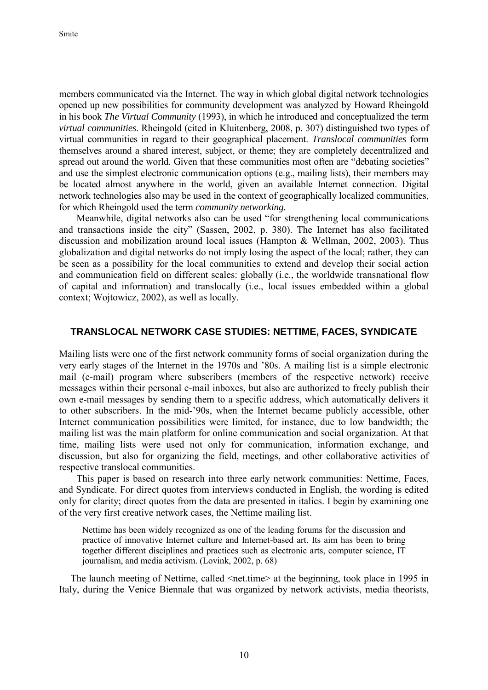members communicated via the Internet. The way in which global digital network technologies opened up new possibilities for community development was analyzed by Howard Rheingold in his book *The Virtual Community* (1993), in which he introduced and conceptualized the term *virtual communities*. Rheingold (cited in Kluitenberg, 2008, p. 307) distinguished two types of virtual communities in regard to their geographical placement. *Translocal communities* form themselves around a shared interest, subject, or theme; they are completely decentralized and spread out around the world. Given that these communities most often are "debating societies" and use the simplest electronic communication options (e.g., mailing lists), their members may be located almost anywhere in the world, given an available Internet connection. Digital network technologies also may be used in the context of geographically localized communities, for which Rheingold used the term *community networking.*

Meanwhile, digital networks also can be used "for strengthening local communications and transactions inside the city" (Sassen, 2002, p. 380). The Internet has also facilitated discussion and mobilization around local issues (Hampton & Wellman, 2002, 2003). Thus globalization and digital networks do not imply losing the aspect of the local; rather, they can be seen as a possibility for the local communities to extend and develop their social action and communication field on different scales: globally (i.e., the worldwide transnational flow of capital and information) and translocally (i.e., local issues embedded within a global context; Wojtowicz, 2002), as well as locally.

#### **TRANSLOCAL NETWORK CASE STUDIES: NETTIME, FACES, SYNDICATE**

Mailing lists were one of the first network community forms of social organization during the very early stages of the Internet in the 1970s and '80s. A mailing list is a simple electronic mail (e-mail) program where subscribers (members of the respective network) receive messages within their personal e-mail inboxes, but also are authorized to freely publish their own e-mail messages by sending them to a specific address, which automatically delivers it to other subscribers. In the mid-'90s, when the Internet became publicly accessible, other Internet communication possibilities were limited, for instance, due to low bandwidth; the mailing list was the main platform for online communication and social organization. At that time, mailing lists were used not only for communication, information exchange, and discussion, but also for organizing the field, meetings, and other collaborative activities of respective translocal communities.

This paper is based on research into three early network communities: Nettime, Faces, and Syndicate. For direct quotes from interviews conducted in English, the wording is edited only for clarity; direct quotes from the data are presented in italics. I begin by examining one of the very first creative network cases, the Nettime mailing list.

Nettime has been widely recognized as one of the leading forums for the discussion and practice of innovative Internet culture and Internet-based art. Its aim has been to bring together different disciplines and practices such as electronic arts, computer science, IT journalism, and media activism. (Lovink, 2002, p. 68)

The launch meeting of Nettime, called  $\leq$ net.time $\geq$  at the beginning, took place in 1995 in Italy, during the Venice Biennale that was organized by network activists, media theorists,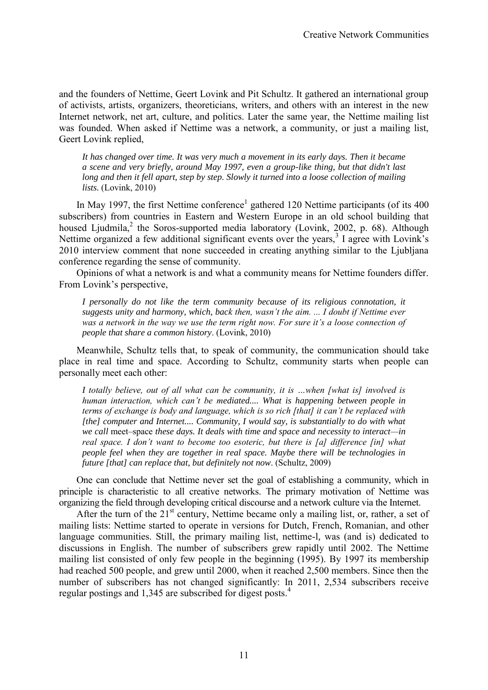and the founders of Nettime, Geert Lovink and Pit Schultz. It gathered an international group of activists, artists, organizers, theoreticians, writers, and others with an interest in the new Internet network, net art, culture, and politics. Later the same year, the Nettime mailing list was founded. When asked if Nettime was a network, a community, or just a mailing list, Geert Lovink replied,

*It has changed over time. It was very much a movement in its early days. Then it became a scene and very briefly, around May 1997, even a group-like thing, but that didn't last long and then it fell apart, step by step. Slowly it turned into a loose collection of mailing lists.* (Lovink, 2010)

In May 1997, the first Nettime conference<sup>1</sup> gathered 120 Nettime participants (of its  $400$ subscribers) from countries in Eastern and Western Europe in an old school building that housed Ljudmila,<sup>2</sup> the Soros-supported media laboratory (Lovink, 2002, p. 68). Although Nettime organized a few additional significant events over the years,<sup>3</sup> I agree with Lovink's 2010 interview comment that none succeeded in creating anything similar to the Ljubljana conference regarding the sense of community.

Opinions of what a network is and what a community means for Nettime founders differ. From Lovink's perspective,

*I personally do not like the term community because of its religious connotation, it suggests unity and harmony, which, back then, wasn't the aim. ... I doubt if Nettime ever was a network in the way we use the term right now. For sure it's a loose connection of people that share a common history*. (Lovink, 2010)

Meanwhile, Schultz tells that, to speak of community, the communication should take place in real time and space. According to Schultz, community starts when people can personally meet each other:

*I totally believe, out of all what can be community, it is …when [what is] involved is human interaction, which can't be mediated.... What is happening between people in terms of exchange is body and language, which is so rich [that] it can't be replaced with [the] computer and Internet.... Community, I would say, is substantially to do with what we call* meet–space *these days. It deals with time and space and necessity to interact—in real space. I don't want to become too esoteric, but there is [a] difference [in] what people feel when they are together in real space. Maybe there will be technologies in future [that] can replace that, but definitely not now*. (Schultz, 2009)

 One can conclude that Nettime never set the goal of establishing a community, which in principle is characteristic to all creative networks. The primary motivation of Nettime was organizing the field through developing critical discourse and a network culture via the Internet.

After the turn of the  $21<sup>st</sup>$  century, Nettime became only a mailing list, or, rather, a set of mailing lists: Nettime started to operate in versions for Dutch, French, Romanian, and other language communities. Still, the primary mailing list, nettime-l*,* was (and is) dedicated to discussions in English. The number of subscribers grew rapidly until 2002. The Nettime mailing list consisted of only few people in the beginning (1995). By 1997 its membership had reached 500 people, and grew until 2000, when it reached 2,500 members. Since then the number of subscribers has not changed significantly: In 2011, 2,534 subscribers receive regular postings and 1,345 are subscribed for digest posts.<sup>4</sup>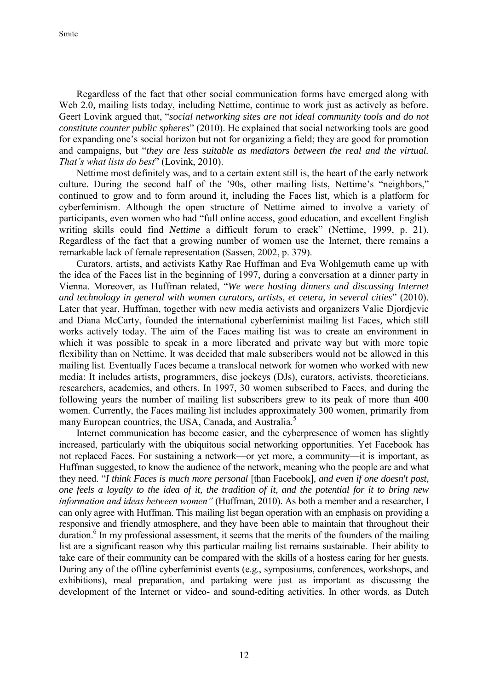Smite

Regardless of the fact that other social communication forms have emerged along with Web 2.0, mailing lists today, including Nettime, continue to work just as actively as before. Geert Lovink argued that, "*social networking sites are not ideal community tools and do not constitute counter public spheres*" (2010). He explained that social networking tools are good for expanding one's social horizon but not for organizing a field; they are good for promotion and campaigns, but "*they are less suitable as mediators between the real and the virtual. That's what lists do best*" (Lovink, 2010).

Nettime most definitely was, and to a certain extent still is, the heart of the early network culture. During the second half of the '90s, other mailing lists, Nettime's "neighbors," continued to grow and to form around it, including the Faces list, which is a platform for cyberfeminism. Although the open structure of Nettime aimed to involve a variety of participants, even women who had "full online access, good education, and excellent English writing skills could find *Nettime* a difficult forum to crack" (Nettime, 1999, p. 21). Regardless of the fact that a growing number of women use the Internet, there remains a remarkable lack of female representation (Sassen, 2002, p. 379).

Curators, artists, and activists Kathy Rae Huffman and Eva Wohlgemuth came up with the idea of the Faces list in the beginning of 1997, during a conversation at a dinner party in Vienna. Moreover, as Huffman related, "*We were hosting dinners and discussing Internet and technology in general with women curators, artists, et cetera, in several cities*" (2010). Later that year, Huffman, together with new media activists and organizers Valie Djordjevic and Diana McCarty, founded the international cyberfeminist mailing list Faces*,* which still works actively today. The aim of the Faces mailing list was to create an environment in which it was possible to speak in a more liberated and private way but with more topic flexibility than on Nettime. It was decided that male subscribers would not be allowed in this mailing list. Eventually Faces became a translocal network for women who worked with new media: It includes artists, programmers, disc jockeys (DJs), curators, activists, theoreticians, researchers, academics, and others. In 1997, 30 women subscribed to Faces, and during the following years the number of mailing list subscribers grew to its peak of more than 400 women. Currently, the Faces mailing list includes approximately 300 women, primarily from many European countries, the USA, Canada, and Australia.<sup>5</sup>

Internet communication has become easier, and the cyberpresence of women has slightly increased, particularly with the ubiquitous social networking opportunities. Yet Facebook has not replaced Faces*.* For sustaining a network—or yet more, a community—it is important, as Huffman suggested, to know the audience of the network, meaning who the people are and what they need. "*I think Faces is much more personal* [than Facebook]*, and even if one doesn't post, one feels a loyalty to the idea of it, the tradition of it, and the potential for it to bring new information and ideas between women"* (Huffman, 2010). As both a member and a researcher, I can only agree with Huffman. This mailing list began operation with an emphasis on providing a responsive and friendly atmosphere, and they have been able to maintain that throughout their duration.<sup>6</sup> In my professional assessment, it seems that the merits of the founders of the mailing list are a significant reason why this particular mailing list remains sustainable. Their ability to take care of their community can be compared with the skills of a hostess caring for her guests. During any of the offline cyberfeminist events (e.g., symposiums, conferences, workshops, and exhibitions), meal preparation, and partaking were just as important as discussing the development of the Internet or video- and sound-editing activities. In other words, as Dutch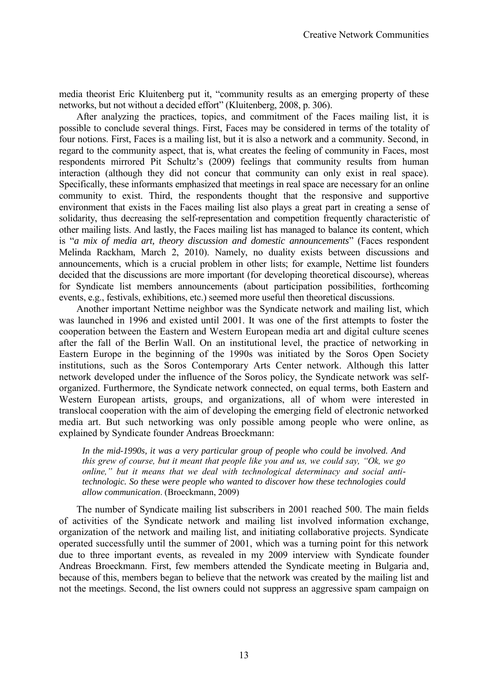media theorist Eric Kluitenberg put it, "community results as an emerging property of these networks, but not without a decided effort" (Kluitenberg, 2008, p. 306).

After analyzing the practices, topics, and commitment of the Faces mailing list, it is possible to conclude several things. First, Faces may be considered in terms of the totality of four notions. First, Faces is a mailing list, but it is also a network and a community. Second, in regard to the community aspect, that is, what creates the feeling of community in Faces, most respondents mirrored Pit Schultz's (2009) feelings that community results from human interaction (although they did not concur that community can only exist in real space). Specifically, these informants emphasized that meetings in real space are necessary for an online community to exist. Third, the respondents thought that the responsive and supportive environment that exists in the Faces mailing list also plays a great part in creating a sense of solidarity, thus decreasing the self-representation and competition frequently characteristic of other mailing lists. And lastly, the Faces mailing list has managed to balance its content, which is "*a mix of media art, theory discussion and domestic announcements*" (Faces respondent Melinda Rackham, March 2, 2010). Namely, no duality exists between discussions and announcements, which is a crucial problem in other lists; for example, Nettime list founders decided that the discussions are more important (for developing theoretical discourse), whereas for Syndicate list members announcements (about participation possibilities, forthcoming events, e.g., festivals, exhibitions, etc.) seemed more useful then theoretical discussions.

Another important Nettime neighbor was the Syndicate network and mailing list, which was launched in 1996 and existed until 2001. It was one of the first attempts to foster the cooperation between the Eastern and Western European media art and digital culture scenes after the fall of the Berlin Wall. On an institutional level, the practice of networking in Eastern Europe in the beginning of the 1990s was initiated by the Soros Open Society institutions, such as the Soros Contemporary Arts Center network. Although this latter network developed under the influence of the Soros policy, the Syndicate network was selforganized. Furthermore, the Syndicate network connected, on equal terms, both Eastern and Western European artists, groups, and organizations, all of whom were interested in translocal cooperation with the aim of developing the emerging field of electronic networked media art. But such networking was only possible among people who were online, as explained by Syndicate founder Andreas Broeckmann:

*In the mid-1990s, it was a very particular group of people who could be involved. And this grew of course, but it meant that people like you and us, we could say, "Ok, we go online," but it means that we deal with technological determinacy and social antitechnologic. So these were people who wanted to discover how these technologies could allow communication*. (Broeckmann, 2009)

The number of Syndicate mailing list subscribers in 2001 reached 500. The main fields of activities of the Syndicate network and mailing list involved information exchange, organization of the network and mailing list, and initiating collaborative projects. Syndicate operated successfully until the summer of 2001, which was a turning point for this network due to three important events, as revealed in my 2009 interview with Syndicate founder Andreas Broeckmann. First, few members attended the Syndicate meeting in Bulgaria and, because of this, members began to believe that the network was created by the mailing list and not the meetings. Second, the list owners could not suppress an aggressive spam campaign on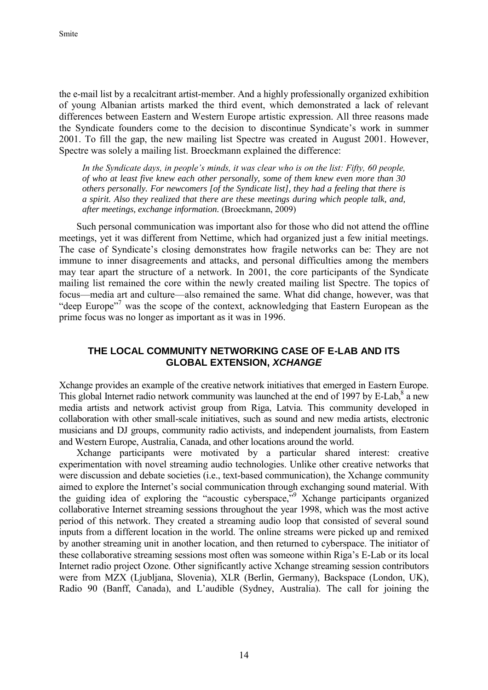the e-mail list by a recalcitrant artist-member. And a highly professionally organized exhibition of young Albanian artists marked the third event, which demonstrated a lack of relevant differences between Eastern and Western Europe artistic expression. All three reasons made the Syndicate founders come to the decision to discontinue Syndicate's work in summer 2001. To fill the gap, the new mailing list Spectre was created in August 2001. However, Spectre was solely a mailing list. Broeckmann explained the difference:

*In the Syndicate days, in people's minds, it was clear who is on the list: Fifty, 60 people, of who at least five knew each other personally, some of them knew even more than 30 others personally. For newcomers [of the Syndicate list], they had a feeling that there is a spirit. Also they realized that there are these meetings during which people talk, and, after meetings, exchange information.* (Broeckmann, 2009)

Such personal communication was important also for those who did not attend the offline meetings, yet it was different from Nettime, which had organized just a few initial meetings*.*  The case of Syndicate's closing demonstrates how fragile networks can be: They are not immune to inner disagreements and attacks, and personal difficulties among the members may tear apart the structure of a network. In 2001, the core participants of the Syndicate mailing list remained the core within the newly created mailing list Spectre. The topics of focus—media art and culture—also remained the same. What did change, however, was that "deep Europe"<sup>7</sup> was the scope of the context, acknowledging that Eastern European as the prime focus was no longer as important as it was in 1996.

## **THE LOCAL COMMUNITY NETWORKING CASE OF E-LAB AND ITS GLOBAL EXTENSION,** *XCHANGE*

Xchange provides an example of the creative network initiatives that emerged in Eastern Europe. This global Internet radio network community was launched at the end of 1997 by E-Lab,<sup>8</sup> a new media artists and network activist group from Riga, Latvia. This community developed in collaboration with other small-scale initiatives, such as sound and new media artists, electronic musicians and DJ groups, community radio activists, and independent journalists, from Eastern and Western Europe, Australia, Canada, and other locations around the world.

Xchange participants were motivated by a particular shared interest: creative experimentation with novel streaming audio technologies. Unlike other creative networks that were discussion and debate societies (i.e., text-based communication), the Xchange community aimed to explore the Internet's social communication through exchanging sound material. With the guiding idea of exploring the "acoustic cyberspace," Xchange participants organized collaborative Internet streaming sessions throughout the year 1998, which was the most active period of this network. They created a streaming audio loop that consisted of several sound inputs from a different location in the world. The online streams were picked up and remixed by another streaming unit in another location, and then returned to cyberspace. The initiator of these collaborative streaming sessions most often was someone within Riga's E-Lab or its local Internet radio project Ozone. Other significantly active Xchange streaming session contributors were from MZX (Ljubljana, Slovenia), XLR (Berlin, Germany), Backspace (London, UK), Radio 90 (Banff, Canada), and L'audible (Sydney, Australia). The call for joining the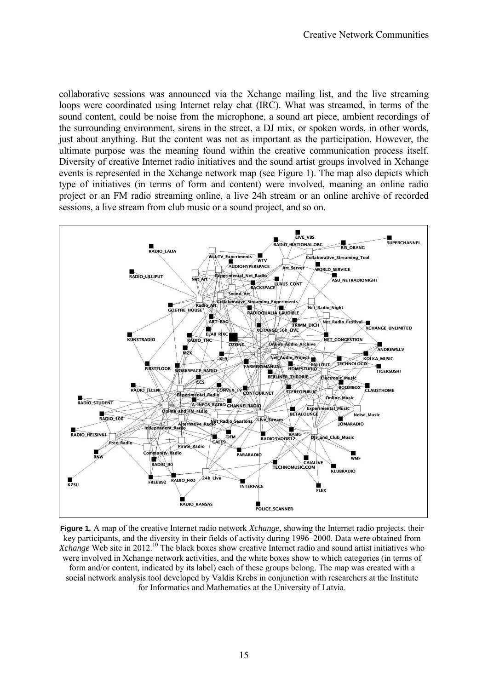collaborative sessions was announced via the Xchange mailing list, and the live streaming loops were coordinated using Internet relay chat (IRC). What was streamed, in terms of the sound content, could be noise from the microphone, a sound art piece, ambient recordings of the surrounding environment, sirens in the street, a DJ mix, or spoken words, in other words, just about anything. But the content was not as important as the participation. However, the ultimate purpose was the meaning found within the creative communication process itself. Diversity of creative Internet radio initiatives and the sound artist groups involved in Xchange events is represented in the Xchange network map (see Figure 1). The map also depicts which type of initiatives (in terms of form and content) were involved, meaning an online radio project or an FM radio streaming online, a live 24h stream or an online archive of recorded sessions, a live stream from club music or a sound project, and so on.



**Figure 1.** A map of the creative Internet radio network *Xchange,* showing the Internet radio projects, their key participants, and the diversity in their fields of activity during 1996–2000. Data were obtained from *Xchange* Web site in 2012.<sup>10</sup> The black boxes show creative Internet radio and sound artist initiatives who were involved in Xchange network activities, and the white boxes show to which categories (in terms of form and/or content, indicated by its label) each of these groups belong. The map was created with a social network analysis tool developed by Valdis Krebs in conjunction with researchers at the Institute for Informatics and Mathematics at the University of Latvia.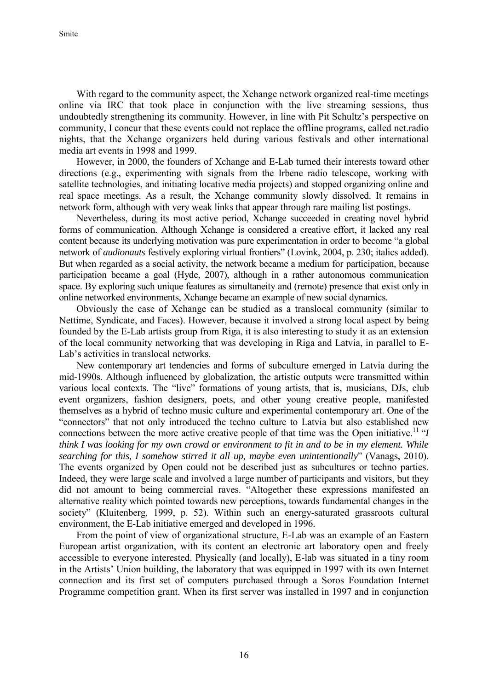With regard to the community aspect, the Xchange network organized real-time meetings online via IRC that took place in conjunction with the live streaming sessions, thus undoubtedly strengthening its community. However, in line with Pit Schultz's perspective on community, I concur that these events could not replace the offline programs, called net.radio nights, that the Xchange organizers held during various festivals and other international media art events in 1998 and 1999.

However, in 2000, the founders of Xchange and E-Lab turned their interests toward other directions (e.g., experimenting with signals from the Irbene radio telescope, working with satellite technologies, and initiating locative media projects) and stopped organizing online and real space meetings. As a result, the Xchange community slowly dissolved. It remains in network form, although with very weak links that appear through rare mailing list postings.

Nevertheless, during its most active period, Xchange succeeded in creating novel hybrid forms of communication. Although Xchange is considered a creative effort, it lacked any real content because its underlying motivation was pure experimentation in order to become "a global network of *audionauts* festively exploring virtual frontiers" (Lovink, 2004, p. 230; italics added). But when regarded as a social activity, the network became a medium for participation*,* because participation became a goal (Hyde, 2007), although in a rather autonomous communication space. By exploring such unique features as simultaneity and (remote) presence that exist only in online networked environments, Xchange became an example of new social dynamics.

Obviously the case of Xchange can be studied as a translocal community (similar to Nettime, Syndicate, and Faces). However, because it involved a strong local aspect by being founded by the E-Lab artists group from Riga, it is also interesting to study it as an extension of the local community networking that was developing in Riga and Latvia, in parallel to E-Lab's activities in translocal networks.

New contemporary art tendencies and forms of subculture emerged in Latvia during the mid-1990s. Although influenced by globalization, the artistic outputs were transmitted within various local contexts. The "live" formations of young artists, that is, musicians, DJs, club event organizers, fashion designers, poets, and other young creative people, manifested themselves as a hybrid of techno music culture and experimental contemporary art. One of the "connectors" that not only introduced the techno culture to Latvia but also established new connections between the more active creative people of that time was the Open initiative.<sup>11</sup> "I *think I was looking for my own crowd or environment to fit in and to be in my element. While searching for this, I somehow stirred it all up, maybe even unintentionally*" (Vanags, 2010). The events organized by Open could not be described just as subcultures or techno parties. Indeed, they were large scale and involved a large number of participants and visitors, but they did not amount to being commercial raves. "Altogether these expressions manifested an alternative reality which pointed towards new perceptions, towards fundamental changes in the society" (Kluitenberg, 1999, p. 52). Within such an energy-saturated grassroots cultural environment, the E-Lab initiative emerged and developed in 1996.

From the point of view of organizational structure, E-Lab was an example of an Eastern European artist organization, with its content an electronic art laboratory open and freely accessible to everyone interested. Physically (and locally), E-lab was situated in a tiny room in the Artists' Union building, the laboratory that was equipped in 1997 with its own Internet connection and its first set of computers purchased through a Soros Foundation Internet Programme competition grant. When its first server was installed in 1997 and in conjunction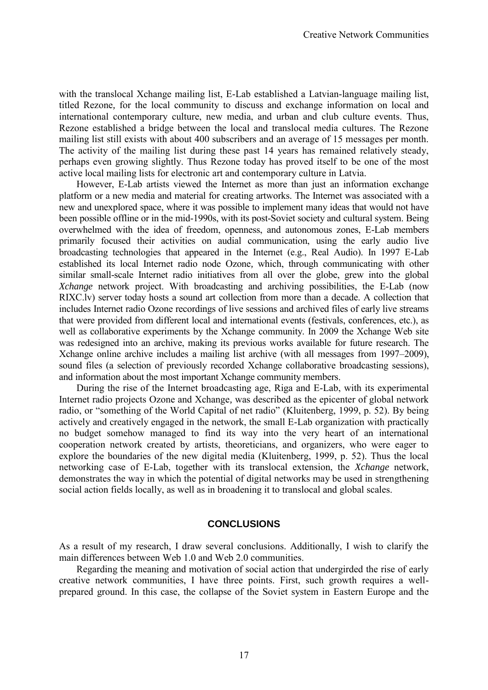with the translocal Xchange mailing list, E-Lab established a Latvian-language mailing list, titled Rezone*,* for the local community to discuss and exchange information on local and international contemporary culture, new media, and urban and club culture events. Thus, Rezone established a bridge between the local and translocal media cultures. The Rezone mailing list still exists with about 400 subscribers and an average of 15 messages per month. The activity of the mailing list during these past 14 years has remained relatively steady, perhaps even growing slightly. Thus Rezone today has proved itself to be one of the most active local mailing lists for electronic art and contemporary culture in Latvia.

However, E-Lab artists viewed the Internet as more than just an information exchange platform or a new media and material for creating artworks. The Internet was associated with a new and unexplored space, where it was possible to implement many ideas that would not have been possible offline or in the mid-1990s, with its post-Soviet society and cultural system. Being overwhelmed with the idea of freedom, openness, and autonomous zones, E-Lab members primarily focused their activities on audial communication, using the early audio live broadcasting technologies that appeared in the Internet (e.g., Real Audio). In 1997 E-Lab established its local Internet radio node Ozone*,* which, through communicating with other similar small-scale Internet radio initiatives from all over the globe, grew into the global *Xchange* network project. With broadcasting and archiving possibilities, the E-Lab (now RIXC.lv) server today hosts a sound art collection from more than a decade. A collection that includes Internet radio Ozone recordings of live sessions and archived files of early live streams that were provided from different local and international events (festivals, conferences, etc.), as well as collaborative experiments by the Xchange community. In 2009 the Xchange Web site was redesigned into an archive, making its previous works available for future research. The Xchange online archive includes a mailing list archive (with all messages from 1997–2009), sound files (a selection of previously recorded Xchange collaborative broadcasting sessions), and information about the most important Xchange community members.

During the rise of the Internet broadcasting age, Riga and E-Lab, with its experimental Internet radio projects Ozone and Xchange*,* was described as the epicenter of global network radio, or "something of the World Capital of net radio" (Kluitenberg, 1999, p. 52). By being actively and creatively engaged in the network, the small E-Lab organization with practically no budget somehow managed to find its way into the very heart of an international cooperation network created by artists, theoreticians, and organizers, who were eager to explore the boundaries of the new digital media (Kluitenberg, 1999, p. 52). Thus the local networking case of E-Lab, together with its translocal extension, the *Xchange* network, demonstrates the way in which the potential of digital networks may be used in strengthening social action fields locally, as well as in broadening it to translocal and global scales.

### **CONCLUSIONS**

As a result of my research, I draw several conclusions. Additionally, I wish to clarify the main differences between Web 1.0 and Web 2.0 communities.

Regarding the meaning and motivation of social action that undergirded the rise of early creative network communities, I have three points. First, such growth requires a wellprepared ground. In this case, the collapse of the Soviet system in Eastern Europe and the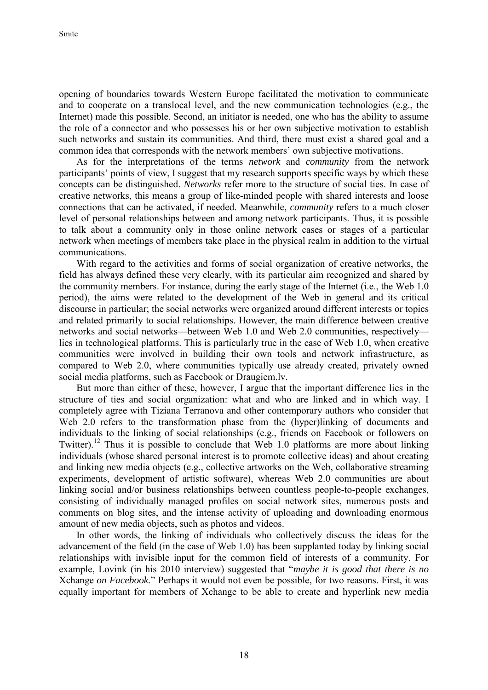opening of boundaries towards Western Europe facilitated the motivation to communicate and to cooperate on a translocal level, and the new communication technologies (e.g., the Internet) made this possible. Second, an initiator is needed, one who has the ability to assume the role of a connector and who possesses his or her own subjective motivation to establish such networks and sustain its communities. And third, there must exist a shared goal and a common idea that corresponds with the network members' own subjective motivations.

As for the interpretations of the terms *network* and *community* from the network participants' points of view, I suggest that my research supports specific ways by which these concepts can be distinguished. *Networks* refer more to the structure of social ties. In case of creative networks, this means a group of like-minded people with shared interests and loose connections that can be activated, if needed. Meanwhile, *community* refers to a much closer level of personal relationships between and among network participants. Thus, it is possible to talk about a community only in those online network cases or stages of a particular network when meetings of members take place in the physical realm in addition to the virtual communications.

With regard to the activities and forms of social organization of creative networks, the field has always defined these very clearly, with its particular aim recognized and shared by the community members. For instance, during the early stage of the Internet (i.e., the Web 1.0 period), the aims were related to the development of the Web in general and its critical discourse in particular; the social networks were organized around different interests or topics and related primarily to social relationships. However, the main difference between creative networks and social networks—between Web 1.0 and Web 2.0 communities, respectively lies in technological platforms. This is particularly true in the case of Web 1.0, when creative communities were involved in building their own tools and network infrastructure, as compared to Web 2.0, where communities typically use already created, privately owned social media platforms, such as Facebook or Draugiem.lv.

But more than either of these, however, I argue that the important difference lies in the structure of ties and social organization: what and who are linked and in which way. I completely agree with Tiziana Terranova and other contemporary authors who consider that Web 2.0 refers to the transformation phase from the (hyper)linking of documents and individuals to the linking of social relationships (e.g., friends on Facebook or followers on Twitter).<sup>12</sup> Thus it is possible to conclude that Web 1.0 platforms are more about linking individuals (whose shared personal interest is to promote collective ideas) and about creating and linking new media objects (e.g., collective artworks on the Web, collaborative streaming experiments, development of artistic software), whereas Web 2.0 communities are about linking social and/or business relationships between countless people-to-people exchanges, consisting of individually managed profiles on social network sites, numerous posts and comments on blog sites, and the intense activity of uploading and downloading enormous amount of new media objects, such as photos and videos.

In other words, the linking of individuals who collectively discuss the ideas for the advancement of the field (in the case of Web 1.0) has been supplanted today by linking social relationships with invisible input for the common field of interests of a community. For example, Lovink (in his 2010 interview) suggested that "*maybe it is good that there is no* Xchange *on Facebook.*" Perhaps it would not even be possible, for two reasons. First, it was equally important for members of Xchange to be able to create and hyperlink new media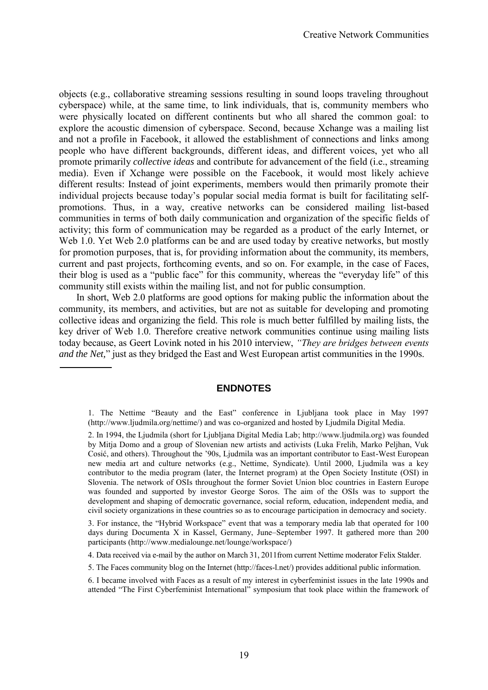objects (e.g., collaborative streaming sessions resulting in sound loops traveling throughout cyberspace) while, at the same time, to link individuals, that is, community members who were physically located on different continents but who all shared the common goal: to explore the acoustic dimension of cyberspace. Second, because Xchange was a mailing list and not a profile in Facebook, it allowed the establishment of connections and links among people who have different backgrounds, different ideas, and different voices, yet who all promote primarily *collective ideas* and contribute for advancement of the field (i.e., streaming media). Even if Xchange were possible on the Facebook, it would most likely achieve different results: Instead of joint experiments, members would then primarily promote their individual projects because today's popular social media format is built for facilitating selfpromotions. Thus, in a way, creative networks can be considered mailing list-based communities in terms of both daily communication and organization of the specific fields of activity; this form of communication may be regarded as a product of the early Internet, or Web 1.0. Yet Web 2.0 platforms can be and are used today by creative networks, but mostly for promotion purposes, that is, for providing information about the community, its members, current and past projects, forthcoming events, and so on. For example, in the case of Faces, their blog is used as a "public face" for this community, whereas the "everyday life" of this community still exists within the mailing list, and not for public consumption.

In short, Web 2.0 platforms are good options for making public the information about the community, its members, and activities, but are not as suitable for developing and promoting collective ideas and organizing the field. This role is much better fulfilled by mailing lists, the key driver of Web 1.0. Therefore creative network communities continue using mailing lists today because, as Geert Lovink noted in his 2010 interview, *"They are bridges between events and the Net,*" just as they bridged the East and West European artist communities in the 1990s.

# **ENDNOTES**

1. The Nettime "Beauty and the East" conference in Ljubljana took place in May 1997 [\(http://www.ljudmila.org/nettime/\)](http://www.ljudmila.org/nettime/) and was co-organized and hosted by Ljudmila Digital Media.

4. Data received via e-mail by the author on March 31, 2011from current Nettime moderator Felix Stalder.

<sup>2.</sup> In 1994, the Ljudmila (short for Ljubljana Digital Media Lab; [http://www.ljudmila.org\)](http://www.ljudmila.org/) was founded by Mitja Domo and a group of Slovenian new artists and activists (Luka Frelih, Marko Peljhan, Vuk Cosić, and others). Throughout the '90s, Ljudmila was an important contributor to East-West European new media art and culture networks (e.g., Nettime, Syndicate). Until 2000, Ljudmila was a key contributor to the media program (later, the Internet program) at the Open Society Institute (OSI) in Slovenia. The network of OSIs throughout the former Soviet Union bloc countries in Eastern Europe was founded and supported by investor George Soros. The aim of the OSIs was to support the development and shaping of democratic governance, social reform, education, independent media, and civil society organizations in these countries so as to encourage participation in democracy and society.

<sup>3.</sup> For instance, the "Hybrid Workspace" event that was a temporary media lab that operated for 100 days during Documenta X in Kassel, Germany, June–September 1997. It gathered more than 200 participants [\(http://www.medialounge.net/lounge/workspace/\)](http://www.medialounge.net/lounge/workspace/)

<sup>5.</sup> The Faces community blog on the Internet [\(http://faces-l.net/\)](http://faces-l.net/) provides additional public information.

<sup>6.</sup> I became involved with Faces as a result of my interest in cyberfeminist issues in the late 1990s and attended "The First Cyberfeminist International" symposium that took place within the framework of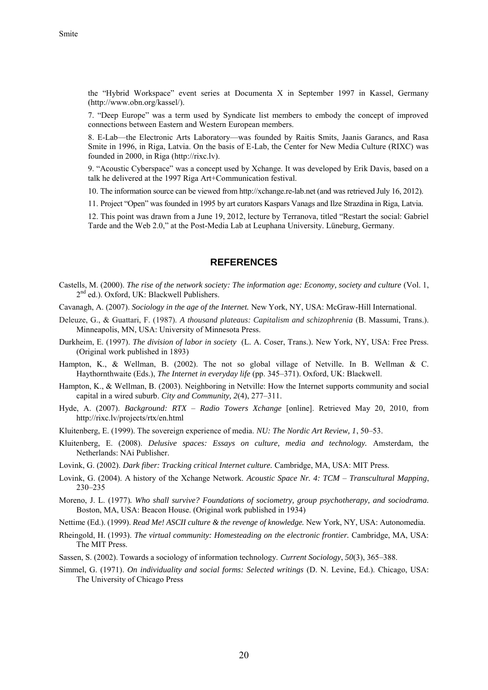the "Hybrid Workspace" event series at Documenta X in September 1997 in Kassel, Germany [\(http://www.obn.org/kassel/\)](http://www.obn.org/kassel/).

7. "Deep Europe" was a term used by Syndicate list members to embody the concept of improved connections between Eastern and Western European members.

8. E-Lab—the Electronic Arts Laboratory—was founded by Raitis Smits, Jaanis Garancs, and Rasa Smite in 1996, in Riga, Latvia. On the basis of E-Lab, the Center for New Media Culture (RIXC) was founded in 2000, in Riga [\(http://rixc.lv\)](http://rixc.lv/).

9. "Acoustic Cyberspace" was a concept used by Xchange. It was developed by Erik Davis, based on a talk he delivered at the 1997 Riga Art+Communication festival.

10. The information source can be viewed fro[m http://xchange.re-lab.net](http://xchange.re-lab.net/) (and was retrieved July 16, 2012).

11. Project "Open" was founded in 1995 by art curators Kaspars Vanags and Ilze Strazdina in Riga, Latvia.

12. This point was drawn from a June 19, 2012, lecture by Terranova, titled "Restart the social: Gabriel Tarde and the Web 2.0," at the Post-Media Lab at Leuphana University. Lüneburg, Germany.

#### **REFERENCES**

- Castells, M. (2000). *The rise of the network society: The information age: Economy, society and culture* (Vol. 1, 2<sup>nd</sup> ed.). Oxford, UK: Blackwell Publishers.
- Cavanagh, A. (2007). *Sociology in the age of the Internet.* New York, NY, USA: McGraw-Hill International.
- Deleuze, G., & Guattari, F. (1987). *A thousand plateaus: Capitalism and schizophrenia* (B. Massumi, Trans.). Minneapolis, MN, USA: University of Minnesota Press.
- Durkheim, E. (1997). *The division of labor in society* (L. A. Coser, Trans.)*.* New York, NY, USA: Free Press. (Original work published in 1893)
- Hampton, K., & Wellman, B. (2002). The not so global village of Netville*.* In B. Wellman & C. Haythornthwaite (Eds.), *The Internet in everyday life* (pp. 345–371). Oxford, UK: Blackwell.
- Hampton, K., & Wellman, B. (2003). Neighboring in Netville: How the Internet supports community and social capital in a wired suburb. *City and Community, 2*(4), 277–311.
- Hyde, A. (2007). *Background: RTX Radio Towers Xchange* [online]. Retrieved May 20, 2010, from <http://rixc.lv/projects/rtx/en.html>
- Kluitenberg, E. (1999). The sovereign experience of media. *NU: The Nordic Art Review, 1*, 50–53.
- Kluitenberg, E. (2008). *Delusive spaces: Essays on culture, media and technology.* Amsterdam, the Netherlands: NAi Publisher.
- Lovink, G. (2002). *Dark fiber: Tracking critical Internet culture.* Cambridge, MA, USA: MIT Press.
- Lovink, G. (2004). A history of the Xchange Network. *Acoustic Space Nr. 4: TCM Transcultural Mapping*, 230–235
- Moreno, J. L. (1977)*. Who shall survive? Foundations of sociometry, group psychotherapy, and sociodrama.* Boston, MA, USA: Beacon House. (Original work published in 1934)
- Nettime (Ed.). (1999). *Read Me! ASCII culture & the revenge of knowledge.* New York, NY, USA: Autonomedia.
- Rheingold, H. (1993). *The virtual community: Homesteading on the electronic frontier.* Cambridge, MA, USA: The MIT Press.
- Sassen, S. (2002). Towards a sociology of information technology. *Current Sociology*, *50*(3), 365–388.
- Simmel, G. (1971). *On individuality and social forms: Selected writings* (D. N. Levine, Ed.). Chicago, USA: The University of Chicago Press